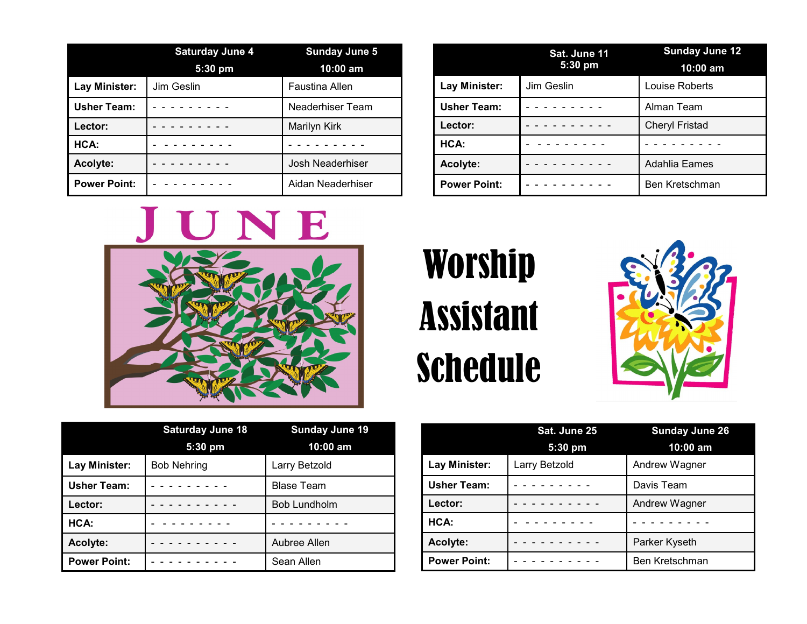|                     | <b>Saturday June 4</b><br>$5:30$ pm | <b>Sunday June 5</b><br>10:00 am |
|---------------------|-------------------------------------|----------------------------------|
| Lay Minister:       | Jim Geslin                          | <b>Faustina Allen</b>            |
| <b>Usher Team:</b>  |                                     | Neaderhiser Team                 |
| Lector:             |                                     | Marilyn Kirk                     |
| HCA:                |                                     |                                  |
| Acolyte:            |                                     | Josh Neaderhiser                 |
| <b>Power Point:</b> |                                     | Aidan Neaderhiser                |



|                     | <b>Saturday June 18</b><br>5:30 pm | <b>Sunday June 19</b><br>10:00 am |
|---------------------|------------------------------------|-----------------------------------|
| Lay Minister:       | <b>Bob Nehring</b>                 | Larry Betzold                     |
| <b>Usher Team:</b>  |                                    | <b>Blase Team</b>                 |
| Lector:             |                                    | <b>Bob Lundholm</b>               |
| HCA:                |                                    |                                   |
| Acolyte:            |                                    | Aubree Allen                      |
| <b>Power Point:</b> |                                    | Sean Allen                        |

|                     | Sat. June 11<br>5:30 pm | <b>Sunday June 12</b> |
|---------------------|-------------------------|-----------------------|
|                     |                         | $10:00$ am            |
| Lay Minister:       | Jim Geslin              | Louise Roberts        |
| <b>Usher Team:</b>  |                         | Alman Team            |
| Lector:             |                         | <b>Cheryl Fristad</b> |
| HCA:                |                         |                       |
| Acolyte:            |                         | Adahlia Eames         |
| <b>Power Point:</b> |                         | Ben Kretschman        |

## Worship Assistant Schedule



|                     | Sat. June 25  | <b>Sunday June 26</b> |
|---------------------|---------------|-----------------------|
|                     | $5:30$ pm     | 10:00 am              |
| Lay Minister:       | Larry Betzold | Andrew Wagner         |
| <b>Usher Team:</b>  |               | Davis Team            |
| Lector:             |               | Andrew Wagner         |
| HCA:                |               |                       |
| Acolyte:            |               | Parker Kyseth         |
| <b>Power Point:</b> |               | Ben Kretschman        |